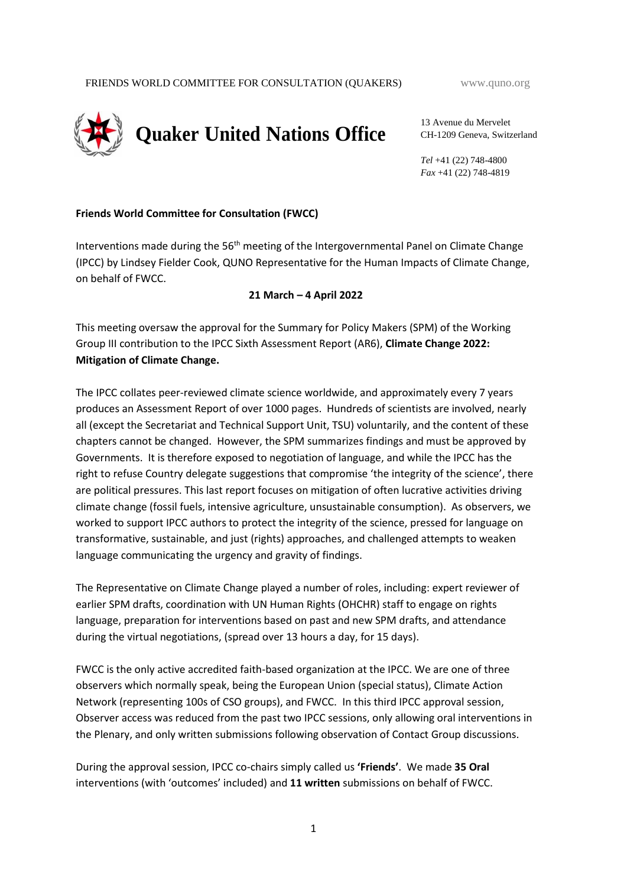

13 Avenue du Mervelet CH-1209 Geneva, Switzerland

*Tel* +41 (22) 748-4800 *Fax* +41 (22) 748-4819

#### **Friends World Committee for Consultation (FWCC)**

Interventions made during the 56<sup>th</sup> meeting of the Intergovernmental Panel on Climate Change (IPCC) by Lindsey Fielder Cook, QUNO Representative for the Human Impacts of Climate Change, on behalf of FWCC.

#### **21 March – 4 April 2022**

This meeting oversaw the approval for the Summary for Policy Makers (SPM) of the Working Group III contribution to the IPCC Sixth Assessment Report (AR6), **Climate Change 2022: Mitigation of Climate Change.**

The IPCC collates peer-reviewed climate science worldwide, and approximately every 7 years produces an Assessment Report of over 1000 pages. Hundreds of scientists are involved, nearly all (except the Secretariat and Technical Support Unit, TSU) voluntarily, and the content of these chapters cannot be changed. However, the SPM summarizes findings and must be approved by Governments. It is therefore exposed to negotiation of language, and while the IPCC has the right to refuse Country delegate suggestions that compromise 'the integrity of the science', there are political pressures. This last report focuses on mitigation of often lucrative activities driving climate change (fossil fuels, intensive agriculture, unsustainable consumption). As observers, we worked to support IPCC authors to protect the integrity of the science, pressed for language on transformative, sustainable, and just (rights) approaches, and challenged attempts to weaken language communicating the urgency and gravity of findings.

The Representative on Climate Change played a number of roles, including: expert reviewer of earlier SPM drafts, coordination with UN Human Rights (OHCHR) staff to engage on rights language, preparation for interventions based on past and new SPM drafts, and attendance during the virtual negotiations, (spread over 13 hours a day, for 15 days).

FWCC is the only active accredited faith-based organization at the IPCC. We are one of three observers which normally speak, being the European Union (special status), Climate Action Network (representing 100s of CSO groups), and FWCC. In this third IPCC approval session, Observer access was reduced from the past two IPCC sessions, only allowing oral interventions in the Plenary, and only written submissions following observation of Contact Group discussions.

During the approval session, IPCC co-chairs simply called us **'Friends'**. We made **35 Oral**  interventions (with 'outcomes' included) and **11 written** submissions on behalf of FWCC.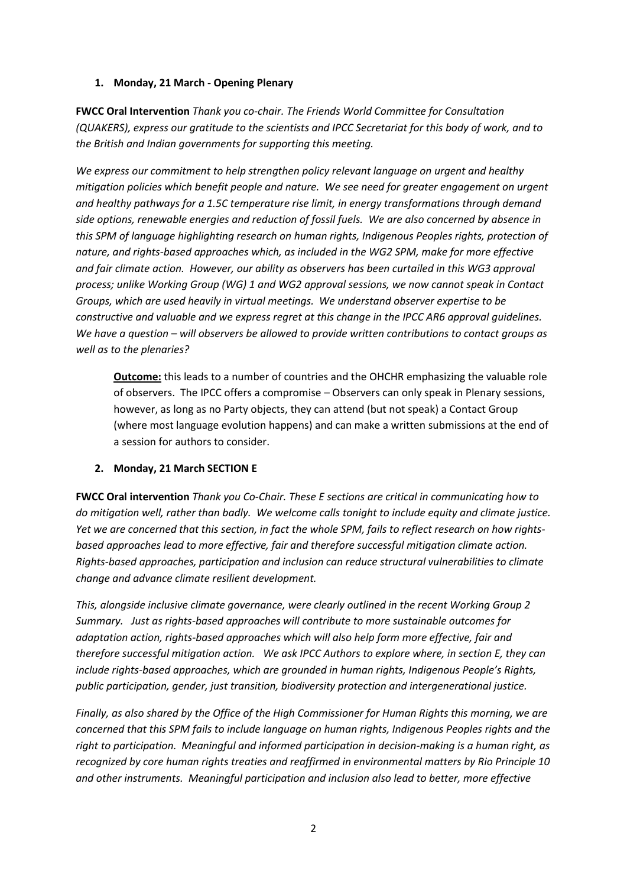## **1. Monday, 21 March - Opening Plenary**

**FWCC Oral Intervention** *Thank you co-chair. The Friends World Committee for Consultation (QUAKERS), express our gratitude to the scientists and IPCC Secretariat for this body of work, and to the British and Indian governments for supporting this meeting.* 

*We express our commitment to help strengthen policy relevant language on urgent and healthy mitigation policies which benefit people and nature. We see need for greater engagement on urgent and healthy pathways for a 1.5C temperature rise limit, in energy transformations through demand side options, renewable energies and reduction of fossil fuels. We are also concerned by absence in this SPM of language highlighting research on human rights, Indigenous Peoples rights, protection of nature, and rights-based approaches which, as included in the WG2 SPM, make for more effective and fair climate action. However, our ability as observers has been curtailed in this WG3 approval process; unlike Working Group (WG) 1 and WG2 approval sessions, we now cannot speak in Contact Groups, which are used heavily in virtual meetings. We understand observer expertise to be constructive and valuable and we express regret at this change in the IPCC AR6 approval guidelines. We have a question – will observers be allowed to provide written contributions to contact groups as well as to the plenaries?*

**Outcome:** this leads to a number of countries and the OHCHR emphasizing the valuable role of observers. The IPCC offers a compromise – Observers can only speak in Plenary sessions, however, as long as no Party objects, they can attend (but not speak) a Contact Group (where most language evolution happens) and can make a written submissions at the end of a session for authors to consider.

## **2. Monday, 21 March SECTION E**

**FWCC Oral intervention** *Thank you Co-Chair. These E sections are critical in communicating how to do mitigation well, rather than badly. We welcome calls tonight to include equity and climate justice. Yet we are concerned that this section, in fact the whole SPM, fails to reflect research on how rightsbased approaches lead to more effective, fair and therefore successful mitigation climate action. Rights-based approaches, participation and inclusion can reduce structural vulnerabilities to climate change and advance climate resilient development.* 

*This, alongside inclusive climate governance, were clearly outlined in the recent Working Group 2 Summary. Just as rights-based approaches will contribute to more sustainable outcomes for adaptation action, rights-based approaches which will also help form more effective, fair and therefore successful mitigation action. We ask IPCC Authors to explore where, in section E, they can include rights-based approaches, which are grounded in human rights, Indigenous People's Rights, public participation, gender, just transition, biodiversity protection and intergenerational justice.*

*Finally, as also shared by the Office of the High Commissioner for Human Rights this morning, we are concerned that this SPM fails to include language on human rights, Indigenous Peoples rights and the right to participation. Meaningful and informed participation in decision-making is a human right, as recognized by core human rights treaties and reaffirmed in environmental matters by Rio Principle 10 and other instruments. Meaningful participation and inclusion also lead to better, more effective*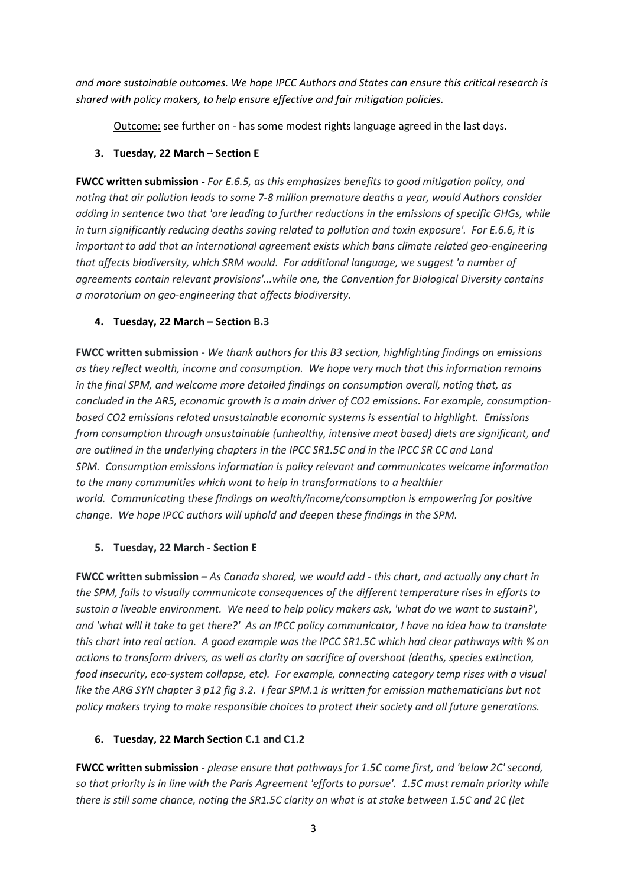*and more sustainable outcomes. We hope IPCC Authors and States can ensure this critical research is shared with policy makers, to help ensure effective and fair mitigation policies.*

Outcome: see further on - has some modest rights language agreed in the last days.

#### **3. Tuesday, 22 March – Section E**

**FWCC written submission -** *For E.6.5, as this emphasizes benefits to good mitigation policy, and noting that air pollution leads to some 7-8 million premature deaths a year, would Authors consider adding in sentence two that 'are leading to further reductions in the emissions of specific GHGs, while in turn significantly reducing deaths saving related to pollution and toxin exposure'. For E.6.6, it is important to add that an international agreement exists which bans climate related geo-engineering that affects biodiversity, which SRM would. For additional language, we suggest 'a number of agreements contain relevant provisions'...while one, the Convention for Biological Diversity contains a moratorium on geo-engineering that affects biodiversity.*

#### **4. Tuesday, 22 March – Section B.3**

**FWCC written submission** - *We thank authors for this B3 section, highlighting findings on emissions as they reflect wealth, income and consumption. We hope very much that this information remains in the final SPM, and welcome more detailed findings on consumption overall, noting that, as concluded in the AR5, economic growth is a main driver of CO2 emissions. For example, consumptionbased CO2 emissions related unsustainable economic systems is essential to highlight. Emissions from consumption through unsustainable (unhealthy, intensive meat based) diets are significant, and are outlined in the underlying chapters in the IPCC SR1.5C and in the IPCC SR CC and Land SPM. Consumption emissions information is policy relevant and communicates welcome information to the many communities which want to help in transformations to a healthier world. Communicating these findings on wealth/income/consumption is empowering for positive change. We hope IPCC authors will uphold and deepen these findings in the SPM.*

#### **5. Tuesday, 22 March - Section E**

**FWCC written submission** *– As Canada shared, we would add - this chart, and actually any chart in the SPM, fails to visually communicate consequences of the different temperature rises in efforts to sustain a liveable environment. We need to help policy makers ask, 'what do we want to sustain?', and 'what will it take to get there?' As an IPCC policy communicator, I have no idea how to translate this chart into real action. A good example was the IPCC SR1.5C which had clear pathways with % on actions to transform drivers, as well as clarity on sacrifice of overshoot (deaths, species extinction, food insecurity, eco-system collapse, etc). For example, connecting category temp rises with a visual like the ARG SYN chapter 3 p12 fig 3.2. I fear SPM.1 is written for emission mathematicians but not policy makers trying to make responsible choices to protect their society and all future generations.*

## **6. Tuesday, 22 March Section C.1 and C1.2**

**FWCC written submission** - *please ensure that pathways for 1.5C come first, and 'below 2C' second, so that priority is in line with the Paris Agreement 'efforts to pursue'. 1.5C must remain priority while there is still some chance, noting the SR1.5C clarity on what is at stake between 1.5C and 2C (let*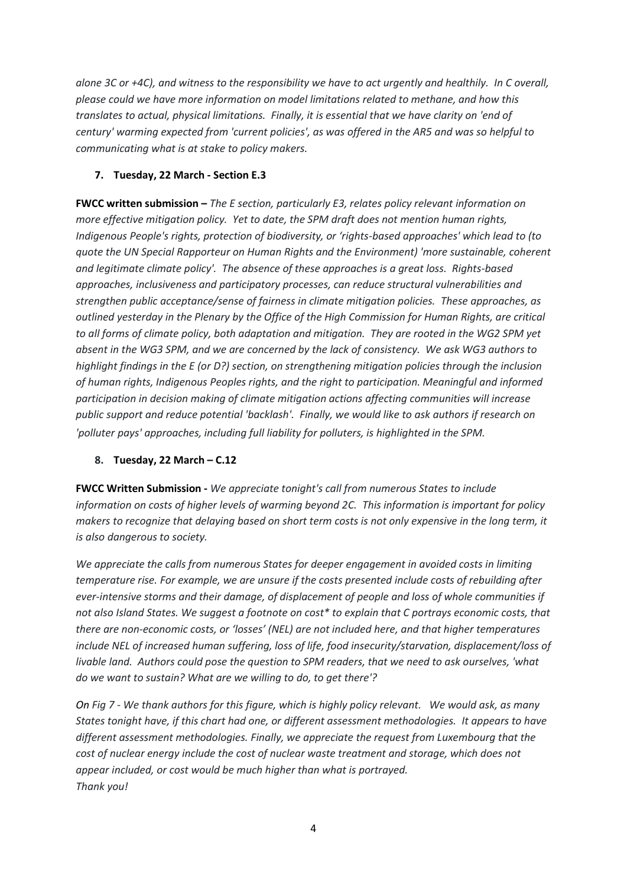*alone 3C or +4C), and witness to the responsibility we have to act urgently and healthily. In C overall, please could we have more information on model limitations related to methane, and how this translates to actual, physical limitations. Finally, it is essential that we have clarity on 'end of century' warming expected from 'current policies', as was offered in the AR5 and was so helpful to communicating what is at stake to policy makers.*

## **7. Tuesday, 22 March - Section E.3**

**FWCC written submission –** *The E section, particularly E3, relates policy relevant information on more effective mitigation policy. Yet to date, the SPM draft does not mention human rights, Indigenous People's rights, protection of biodiversity, or 'rights-based approaches' which lead to (to quote the UN Special Rapporteur on Human Rights and the Environment) 'more sustainable, coherent and legitimate climate policy'. The absence of these approaches is a great loss. Rights-based approaches, inclusiveness and participatory processes, can reduce structural vulnerabilities and strengthen public acceptance/sense of fairness in climate mitigation policies. These approaches, as outlined yesterday in the Plenary by the Office of the High Commission for Human Rights, are critical to all forms of climate policy, both adaptation and mitigation. They are rooted in the WG2 SPM yet absent in the WG3 SPM, and we are concerned by the lack of consistency. We ask WG3 authors to highlight findings in the E (or D?) section, on strengthening mitigation policies through the inclusion of human rights, Indigenous Peoples rights, and the right to participation. Meaningful and informed participation in decision making of climate mitigation actions affecting communities will increase public support and reduce potential 'backlash'. Finally, we would like to ask authors if research on 'polluter pays' approaches, including full liability for polluters, is highlighted in the SPM.*

## **8. Tuesday, 22 March – C.12**

**FWCC Written Submission -** *We appreciate tonight's call from numerous States to include information on costs of higher levels of warming beyond 2C. This information is important for policy makers to recognize that delaying based on short term costs is not only expensive in the long term, it is also dangerous to society.* 

*We appreciate the calls from numerous States for deeper engagement in avoided costs in limiting temperature rise. For example, we are unsure if the costs presented include costs of rebuilding after ever-intensive storms and their damage, of displacement of people and loss of whole communities if not also Island States. We suggest a footnote on cost\* to explain that C portrays economic costs, that there are non-economic costs, or 'losses' (NEL) are not included here, and that higher temperatures include NEL of increased human suffering, loss of life, food insecurity/starvation, displacement/loss of livable land. Authors could pose the question to SPM readers, that we need to ask ourselves, 'what do we want to sustain? What are we willing to do, to get there'?*

*On Fig 7 - We thank authors for this figure, which is highly policy relevant. We would ask, as many States tonight have, if this chart had one, or different assessment methodologies. It appears to have different assessment methodologies. Finally, we appreciate the request from Luxembourg that the cost of nuclear energy include the cost of nuclear waste treatment and storage, which does not appear included, or cost would be much higher than what is portrayed. Thank you!*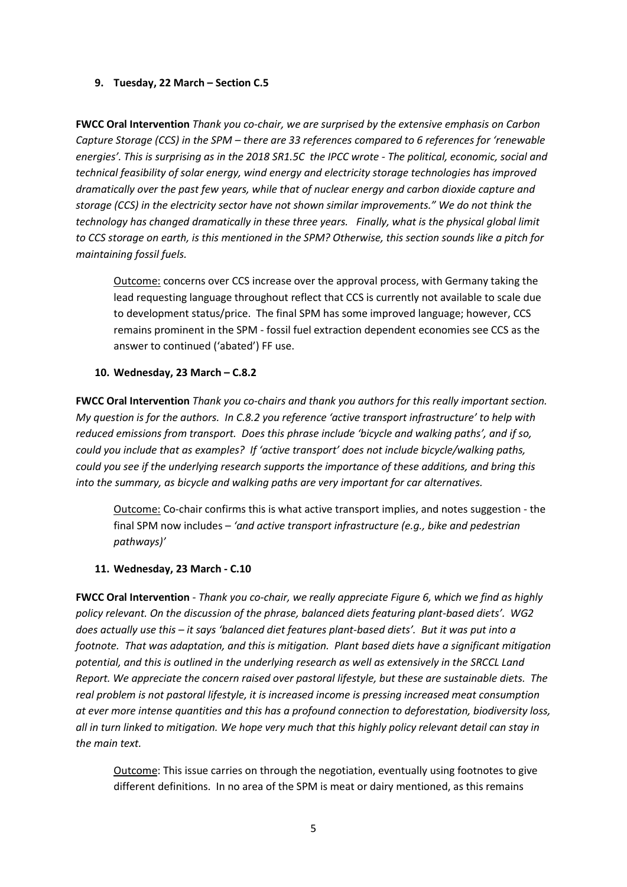#### **9. Tuesday, 22 March – Section C.5**

**FWCC Oral Intervention** *Thank you co-chair, we are surprised by the extensive emphasis on Carbon Capture Storage (CCS) in the SPM – there are 33 references compared to 6 references for 'renewable energies'. This is surprising as in the 2018 SR1.5C the IPCC wrote - The political, economic, social and technical feasibility of solar energy, wind energy and electricity storage technologies has improved dramatically over the past few years, while that of nuclear energy and carbon dioxide capture and storage (CCS) in the electricity sector have not shown similar improvements." We do not think the technology has changed dramatically in these three years. Finally, what is the physical global limit to CCS storage on earth, is this mentioned in the SPM? Otherwise, this section sounds like a pitch for maintaining fossil fuels.*

Outcome: concerns over CCS increase over the approval process, with Germany taking the lead requesting language throughout reflect that CCS is currently not available to scale due to development status/price. The final SPM has some improved language; however, CCS remains prominent in the SPM - fossil fuel extraction dependent economies see CCS as the answer to continued ('abated') FF use.

#### **10. Wednesday, 23 March – C.8.2**

**FWCC Oral Intervention** *Thank you co-chairs and thank you authors for this really important section. My question is for the authors. In C.8.2 you reference 'active transport infrastructure' to help with reduced emissions from transport. Does this phrase include 'bicycle and walking paths', and if so, could you include that as examples? If 'active transport' does not include bicycle/walking paths, could you see if the underlying research supports the importance of these additions, and bring this into the summary, as bicycle and walking paths are very important for car alternatives.*

Outcome: Co-chair confirms this is what active transport implies, and notes suggestion - the final SPM now includes – *'and active transport infrastructure (e.g., bike and pedestrian pathways)'*

#### **11. Wednesday, 23 March - C.10**

**FWCC Oral Intervention** - *Thank you co-chair, we really appreciate Figure 6, which we find as highly policy relevant. On the discussion of the phrase, balanced diets featuring plant-based diets'. WG2 does actually use this – it says 'balanced diet features plant-based diets'. But it was put into a footnote. That was adaptation, and this is mitigation. Plant based diets have a significant mitigation potential, and this is outlined in the underlying research as well as extensively in the SRCCL Land Report. We appreciate the concern raised over pastoral lifestyle, but these are sustainable diets. The real problem is not pastoral lifestyle, it is increased income is pressing increased meat consumption at ever more intense quantities and this has a profound connection to deforestation, biodiversity loss, all in turn linked to mitigation. We hope very much that this highly policy relevant detail can stay in the main text.* 

Outcome: This issue carries on through the negotiation, eventually using footnotes to give different definitions. In no area of the SPM is meat or dairy mentioned, as this remains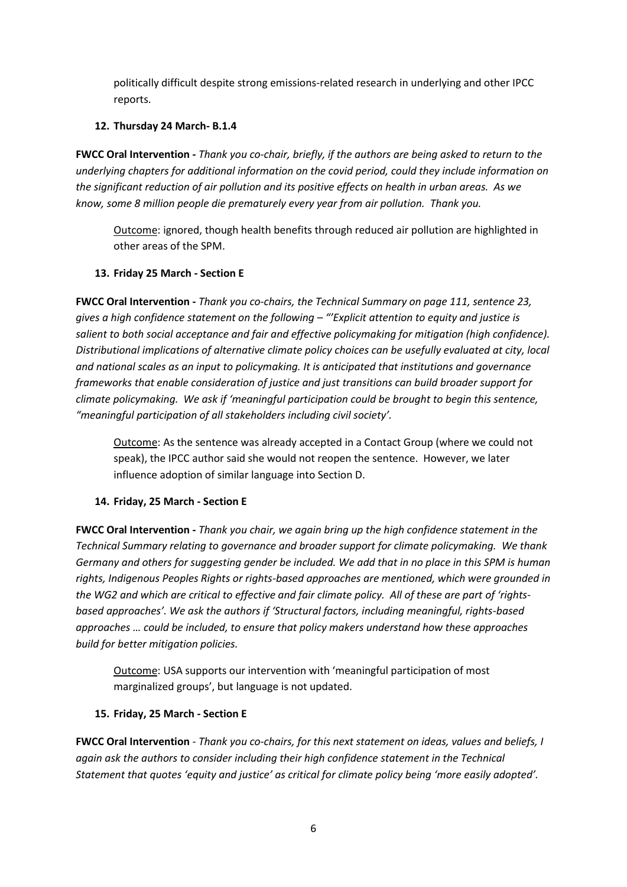politically difficult despite strong emissions-related research in underlying and other IPCC reports.

## **12. Thursday 24 March- B.1.4**

**FWCC Oral Intervention -** *Thank you co-chair, briefly, if the authors are being asked to return to the underlying chapters for additional information on the covid period, could they include information on the significant reduction of air pollution and its positive effects on health in urban areas. As we know, some 8 million people die prematurely every year from air pollution. Thank you.*

Outcome: ignored, though health benefits through reduced air pollution are highlighted in other areas of the SPM.

# **13. Friday 25 March - Section E**

**FWCC Oral Intervention -** *Thank you co-chairs, the Technical Summary on page 111, sentence 23, gives a high confidence statement on the following – "'Explicit attention to equity and justice is salient to both social acceptance and fair and effective policymaking for mitigation (high confidence). Distributional implications of alternative climate policy choices can be usefully evaluated at city, local and national scales as an input to policymaking. It is anticipated that institutions and governance frameworks that enable consideration of justice and just transitions can build broader support for climate policymaking. We ask if 'meaningful participation could be brought to begin this sentence, "meaningful participation of all stakeholders including civil society'.*

Outcome: As the sentence was already accepted in a Contact Group (where we could not speak), the IPCC author said she would not reopen the sentence. However, we later influence adoption of similar language into Section D.

# **14. Friday, 25 March - Section E**

**FWCC Oral Intervention -** *Thank you chair, we again bring up the high confidence statement in the Technical Summary relating to governance and broader support for climate policymaking. We thank Germany and others for suggesting gender be included. We add that in no place in this SPM is human rights, Indigenous Peoples Rights or rights-based approaches are mentioned, which were grounded in the WG2 and which are critical to effective and fair climate policy. All of these are part of 'rightsbased approaches'. We ask the authors if 'Structural factors, including meaningful, rights-based approaches … could be included, to ensure that policy makers understand how these approaches build for better mitigation policies.*

Outcome: USA supports our intervention with 'meaningful participation of most marginalized groups', but language is not updated.

## **15. Friday, 25 March - Section E**

**FWCC Oral Intervention** - *Thank you co-chairs, for this next statement on ideas, values and beliefs, I again ask the authors to consider including their high confidence statement in the Technical Statement that quotes 'equity and justice' as critical for climate policy being 'more easily adopted'.*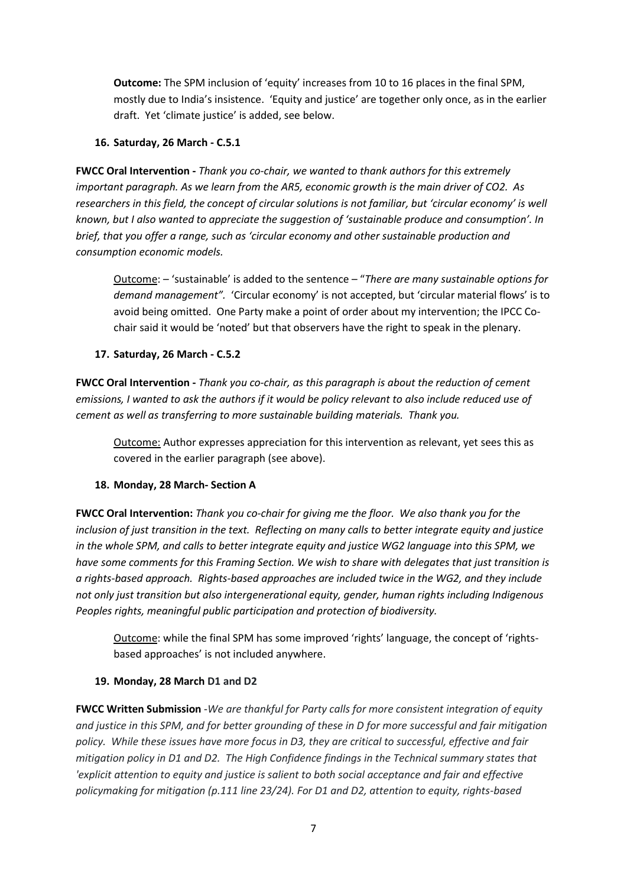**Outcome:** The SPM inclusion of 'equity' increases from 10 to 16 places in the final SPM, mostly due to India's insistence. 'Equity and justice' are together only once, as in the earlier draft. Yet 'climate justice' is added, see below.

#### **16. Saturday, 26 March - C.5.1**

**FWCC Oral Intervention -** *Thank you co-chair, we wanted to thank authors for this extremely important paragraph. As we learn from the AR5, economic growth is the main driver of CO2. As researchers in this field, the concept of circular solutions is not familiar, but 'circular economy' is well known, but I also wanted to appreciate the suggestion of 'sustainable produce and consumption'. In brief, that you offer a range, such as 'circular economy and other sustainable production and consumption economic models.* 

Outcome: – 'sustainable' is added to the sentence – "*There are many sustainable options for demand management".* 'Circular economy' is not accepted, but 'circular material flows' is to avoid being omitted. One Party make a point of order about my intervention; the IPCC Cochair said it would be 'noted' but that observers have the right to speak in the plenary.

#### **17. Saturday, 26 March - C.5.2**

**FWCC Oral Intervention -** *Thank you co-chair, as this paragraph is about the reduction of cement emissions, I wanted to ask the authors if it would be policy relevant to also include reduced use of cement as well as transferring to more sustainable building materials. Thank you.*

Outcome: Author expresses appreciation for this intervention as relevant, yet sees this as covered in the earlier paragraph (see above).

#### **18. Monday, 28 March- Section A**

**FWCC Oral Intervention:** *Thank you co-chair for giving me the floor. We also thank you for the inclusion of just transition in the text. Reflecting on many calls to better integrate equity and justice in the whole SPM, and calls to better integrate equity and justice WG2 language into this SPM, we have some comments for this Framing Section. We wish to share with delegates that just transition is a rights-based approach. Rights-based approaches are included twice in the WG2, and they include not only just transition but also intergenerational equity, gender, human rights including Indigenous Peoples rights, meaningful public participation and protection of biodiversity.* 

Outcome: while the final SPM has some improved 'rights' language, the concept of 'rightsbased approaches' is not included anywhere.

#### **19. Monday, 28 March D1 and D2**

**FWCC Written Submission** -*We are thankful for Party calls for more consistent integration of equity and justice in this SPM, and for better grounding of these in D for more successful and fair mitigation policy. While these issues have more focus in D3, they are critical to successful, effective and fair mitigation policy in D1 and D2. The High Confidence findings in the Technical summary states that 'explicit attention to equity and justice is salient to both social acceptance and fair and effective policymaking for mitigation (p.111 line 23/24). For D1 and D2, attention to equity, rights-based*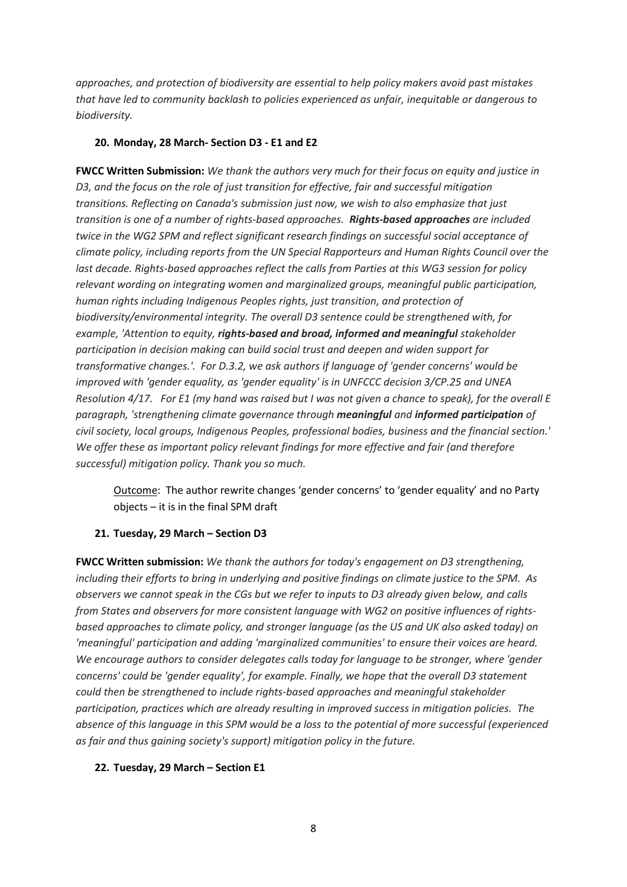*approaches, and protection of biodiversity are essential to help policy makers avoid past mistakes that have led to community backlash to policies experienced as unfair, inequitable or dangerous to biodiversity.*

#### **20. Monday, 28 March- Section D3 - E1 and E2**

**FWCC Written Submission:** *We thank the authors very much for their focus on equity and justice in D3, and the focus on the role of just transition for effective, fair and successful mitigation transitions. Reflecting on Canada's submission just now, we wish to also emphasize that just transition is one of a number of rights-based approaches. Rights-based approaches are included twice in the WG2 SPM and reflect significant research findings on successful social acceptance of climate policy, including reports from the UN Special Rapporteurs and Human Rights Council over the last decade. Rights-based approaches reflect the calls from Parties at this WG3 session for policy relevant wording on integrating women and marginalized groups, meaningful public participation, human rights including Indigenous Peoples rights, just transition, and protection of biodiversity/environmental integrity. The overall D3 sentence could be strengthened with, for example, 'Attention to equity, rights-based and broad, informed and meaningful stakeholder participation in decision making can build social trust and deepen and widen support for transformative changes.'. For D.3.2, we ask authors if language of 'gender concerns' would be improved with 'gender equality, as 'gender equality' is in UNFCCC decision 3/CP.25 and UNEA Resolution 4/17. For E1 (my hand was raised but I was not given a chance to speak), for the overall E paragraph, 'strengthening climate governance through meaningful and informed participation of civil society, local groups, Indigenous Peoples, professional bodies, business and the financial section.' We offer these as important policy relevant findings for more effective and fair (and therefore successful) mitigation policy. Thank you so much.*

Outcome: The author rewrite changes 'gender concerns' to 'gender equality' and no Party objects – it is in the final SPM draft

#### **21. Tuesday, 29 March – Section D3**

**FWCC Written submission:** *We thank the authors for today's engagement on D3 strengthening, including their efforts to bring in underlying and positive findings on climate justice to the SPM. As observers we cannot speak in the CGs but we refer to inputs to D3 already given below, and calls from States and observers for more consistent language with WG2 on positive influences of rightsbased approaches to climate policy, and stronger language (as the US and UK also asked today) on 'meaningful' participation and adding 'marginalized communities' to ensure their voices are heard. We encourage authors to consider delegates calls today for language to be stronger, where 'gender concerns' could be 'gender equality', for example. Finally, we hope that the overall D3 statement could then be strengthened to include rights-based approaches and meaningful stakeholder participation, practices which are already resulting in improved success in mitigation policies. The absence of this language in this SPM would be a loss to the potential of more successful (experienced as fair and thus gaining society's support) mitigation policy in the future.*

#### **22. Tuesday, 29 March – Section E1**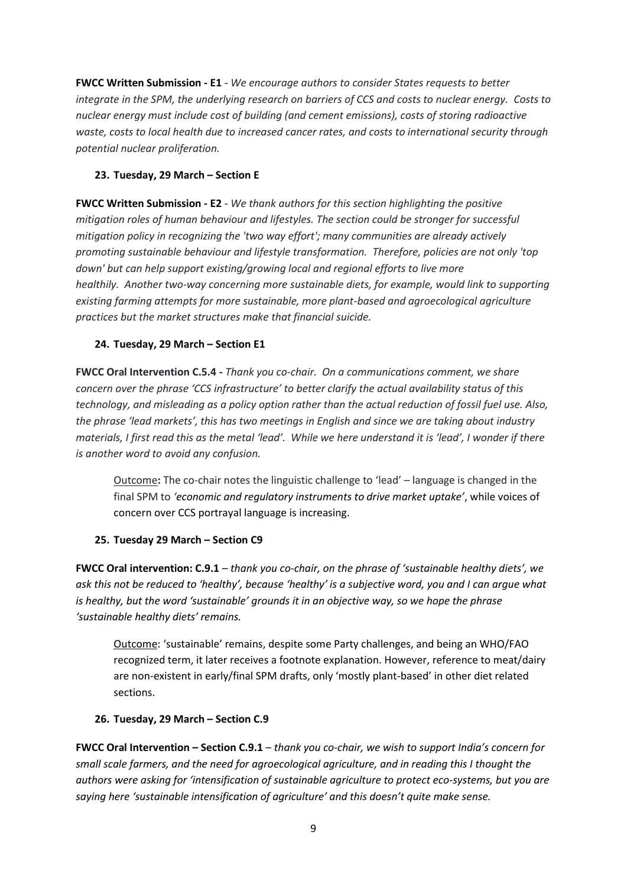**FWCC Written Submission - E1** - *We encourage authors to consider States requests to better integrate in the SPM, the underlying research on barriers of CCS and costs to nuclear energy. Costs to nuclear energy must include cost of building (and cement emissions), costs of storing radioactive waste, costs to local health due to increased cancer rates, and costs to international security through potential nuclear proliferation.*

## **23. Tuesday, 29 March – Section E**

**FWCC Written Submission - E2** - *We thank authors for this section highlighting the positive mitigation roles of human behaviour and lifestyles. The section could be stronger for successful mitigation policy in recognizing the 'two way effort'; many communities are already actively promoting sustainable behaviour and lifestyle transformation. Therefore, policies are not only 'top down' but can help support existing/growing local and regional efforts to live more healthily. Another two-way concerning more sustainable diets, for example, would link to supporting existing farming attempts for more sustainable, more plant-based and agroecological agriculture practices but the market structures make that financial suicide.*

## **24. Tuesday, 29 March – Section E1**

**FWCC Oral Intervention C.5.4 -** *Thank you co-chair. On a communications comment, we share concern over the phrase 'CCS infrastructure' to better clarify the actual availability status of this technology, and misleading as a policy option rather than the actual reduction of fossil fuel use. Also, the phrase 'lead markets', this has two meetings in English and since we are taking about industry materials, I first read this as the metal 'lead'. While we here understand it is 'lead', I wonder if there is another word to avoid any confusion.*

Outcome**:** The co-chair notes the linguistic challenge to 'lead' – language is changed in the final SPM to *'economic and regulatory instruments to drive market uptake'*, while voices of concern over CCS portrayal language is increasing.

## **25. Tuesday 29 March – Section C9**

**FWCC Oral intervention: C.9.1** – *thank you co-chair, on the phrase of 'sustainable healthy diets', we ask this not be reduced to 'healthy', because 'healthy' is a subjective word, you and I can argue what is healthy, but the word 'sustainable' grounds it in an objective way, so we hope the phrase 'sustainable healthy diets' remains.* 

Outcome: 'sustainable' remains, despite some Party challenges, and being an WHO/FAO recognized term, it later receives a footnote explanation. However, reference to meat/dairy are non-existent in early/final SPM drafts, only 'mostly plant-based' in other diet related sections.

## **26. Tuesday, 29 March – Section C.9**

**FWCC Oral Intervention – Section C.9.1** – *thank you co-chair, we wish to support India's concern for small scale farmers, and the need for agroecological agriculture, and in reading this I thought the authors were asking for 'intensification of sustainable agriculture to protect eco-systems, but you are saying here 'sustainable intensification of agriculture' and this doesn't quite make sense.*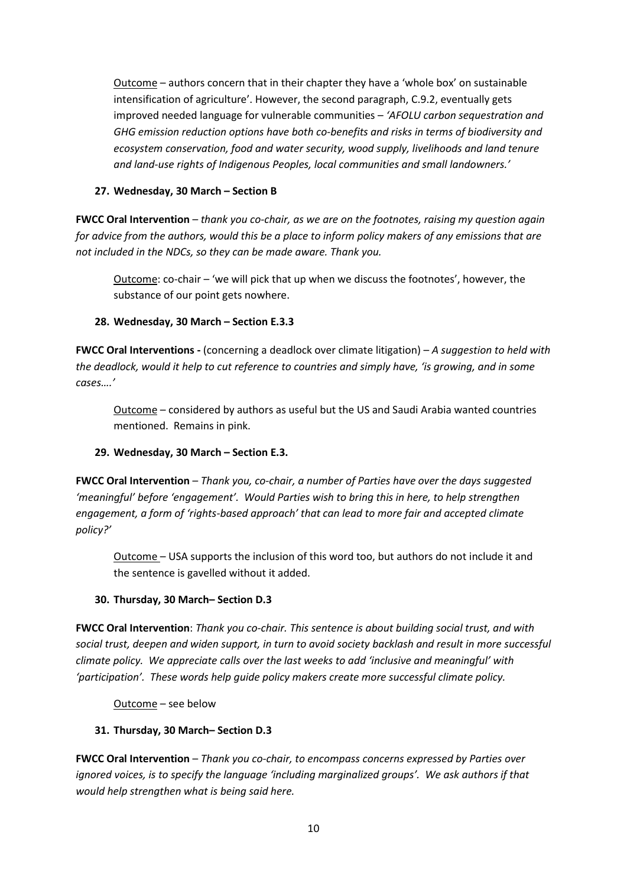Outcome – authors concern that in their chapter they have a 'whole box' on sustainable intensification of agriculture'. However, the second paragraph, C.9.2, eventually gets improved needed language for vulnerable communities – *'AFOLU carbon sequestration and GHG emission reduction options have both co-benefits and risks in terms of biodiversity and ecosystem conservation, food and water security, wood supply, livelihoods and land tenure and land-use rights of Indigenous Peoples, local communities and small landowners.'*

## **27. Wednesday, 30 March – Section B**

**FWCC Oral Intervention** – *thank you co-chair, as we are on the footnotes, raising my question again for advice from the authors, would this be a place to inform policy makers of any emissions that are not included in the NDCs, so they can be made aware. Thank you.*

Outcome: co-chair – 'we will pick that up when we discuss the footnotes', however, the substance of our point gets nowhere.

## **28. Wednesday, 30 March – Section E.3.3**

**FWCC Oral Interventions -** (concerning a deadlock over climate litigation) – *A suggestion to held with the deadlock, would it help to cut reference to countries and simply have, 'is growing, and in some cases….'*

Outcome – considered by authors as useful but the US and Saudi Arabia wanted countries mentioned. Remains in pink.

## **29. Wednesday, 30 March – Section E.3.**

**FWCC Oral Intervention** – *Thank you, co-chair, a number of Parties have over the days suggested 'meaningful' before 'engagement'. Would Parties wish to bring this in here, to help strengthen engagement, a form of 'rights-based approach' that can lead to more fair and accepted climate policy?'*

Outcome – USA supports the inclusion of this word too, but authors do not include it and the sentence is gavelled without it added.

#### **30. Thursday, 30 March– Section D.3**

**FWCC Oral Intervention**: *Thank you co-chair. This sentence is about building social trust, and with social trust, deepen and widen support, in turn to avoid society backlash and result in more successful climate policy. We appreciate calls over the last weeks to add 'inclusive and meaningful' with 'participation'. These words help guide policy makers create more successful climate policy.* 

Outcome – see below

#### **31. Thursday, 30 March– Section D.3**

**FWCC Oral Intervention** – *Thank you co-chair, to encompass concerns expressed by Parties over ignored voices, is to specify the language 'including marginalized groups'. We ask authors if that would help strengthen what is being said here.*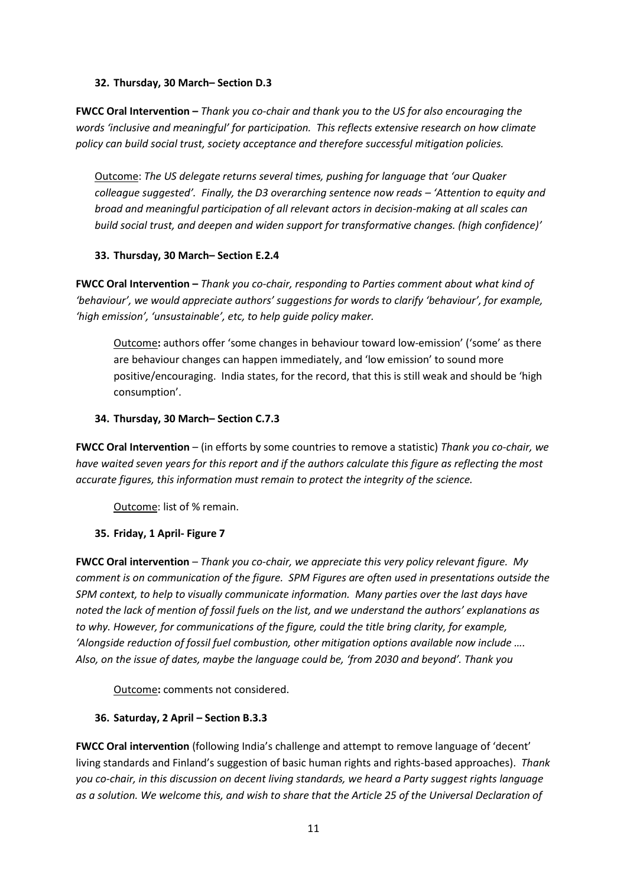#### **32. Thursday, 30 March– Section D.3**

**FWCC Oral Intervention –** *Thank you co-chair and thank you to the US for also encouraging the words 'inclusive and meaningful' for participation. This reflects extensive research on how climate policy can build social trust, society acceptance and therefore successful mitigation policies.*

Outcome: *The US delegate returns several times, pushing for language that 'our Quaker colleague suggested'. Finally, the D3 overarching sentence now reads – 'Attention to equity and broad and meaningful participation of all relevant actors in decision-making at all scales can build social trust, and deepen and widen support for transformative changes. (high confidence)'* 

## **33. Thursday, 30 March– Section E.2.4**

**FWCC Oral Intervention –** *Thank you co-chair, responding to Parties comment about what kind of 'behaviour', we would appreciate authors' suggestions for words to clarify 'behaviour', for example, 'high emission', 'unsustainable', etc, to help guide policy maker.*

Outcome**:** authors offer 'some changes in behaviour toward low-emission' ('some' as there are behaviour changes can happen immediately, and 'low emission' to sound more positive/encouraging. India states, for the record, that this is still weak and should be 'high consumption'.

#### **34. Thursday, 30 March– Section C.7.3**

**FWCC Oral Intervention** – (in efforts by some countries to remove a statistic) *Thank you co-chair, we have waited seven years for this report and if the authors calculate this figure as reflecting the most accurate figures, this information must remain to protect the integrity of the science.*

Outcome: list of % remain.

## **35. Friday, 1 April- Figure 7**

**FWCC Oral intervention** – *Thank you co-chair, we appreciate this very policy relevant figure. My comment is on communication of the figure. SPM Figures are often used in presentations outside the SPM context, to help to visually communicate information. Many parties over the last days have noted the lack of mention of fossil fuels on the list, and we understand the authors' explanations as to why. However, for communications of the figure, could the title bring clarity, for example, 'Alongside reduction of fossil fuel combustion, other mitigation options available now include …. Also, on the issue of dates, maybe the language could be, 'from 2030 and beyond'. Thank you*

Outcome**:** comments not considered.

## **36. Saturday, 2 April – Section B.3.3**

**FWCC Oral intervention** (following India's challenge and attempt to remove language of 'decent' living standards and Finland's suggestion of basic human rights and rights-based approaches). *Thank you co-chair, in this discussion on decent living standards, we heard a Party suggest rights language as a solution. We welcome this, and wish to share that the Article 25 of the Universal Declaration of*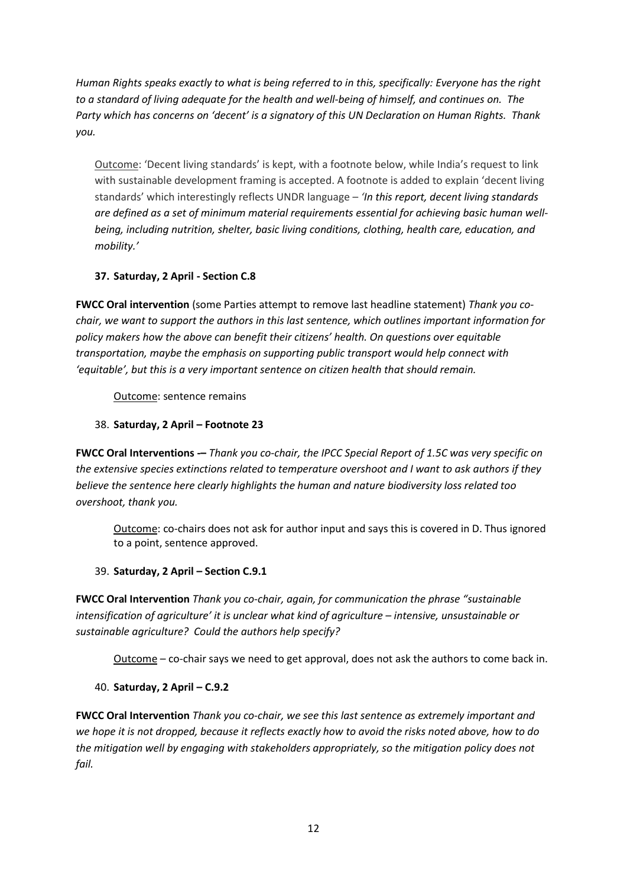*Human Rights speaks exactly to what is being referred to in this, specifically: Everyone has the right to a standard of living adequate for the health and well-being of himself, and continues on. The Party which has concerns on 'decent' is a signatory of this UN Declaration on Human Rights. Thank you.*

Outcome: 'Decent living standards' is kept, with a footnote below, while India's request to link with sustainable development framing is accepted. A footnote is added to explain 'decent living standards' which interestingly reflects UNDR language – *'In this report, decent living standards are defined as a set of minimum material requirements essential for achieving basic human wellbeing, including nutrition, shelter, basic living conditions, clothing, health care, education, and mobility.'*

# **37. Saturday, 2 April - Section C.8**

**FWCC Oral intervention** (some Parties attempt to remove last headline statement) *Thank you cochair, we want to support the authors in this last sentence, which outlines important information for policy makers how the above can benefit their citizens' health. On questions over equitable transportation, maybe the emphasis on supporting public transport would help connect with 'equitable', but this is a very important sentence on citizen health that should remain.*

Outcome: sentence remains

# 38. **Saturday, 2 April – Footnote 23**

**FWCC Oral Interventions -–** *Thank you co-chair, the IPCC Special Report of 1.5C was very specific on the extensive species extinctions related to temperature overshoot and I want to ask authors if they believe the sentence here clearly highlights the human and nature biodiversity loss related too overshoot, thank you.*

Outcome: co-chairs does not ask for author input and says this is covered in D. Thus ignored to a point, sentence approved.

## 39. **Saturday, 2 April – Section C.9.1**

**FWCC Oral Intervention** *Thank you co-chair, again, for communication the phrase "sustainable intensification of agriculture' it is unclear what kind of agriculture – intensive, unsustainable or sustainable agriculture? Could the authors help specify?*

Outcome – co-chair says we need to get approval, does not ask the authors to come back in.

# 40. **Saturday, 2 April – C.9.2**

**FWCC Oral Intervention** *Thank you co-chair, we see this last sentence as extremely important and we hope it is not dropped, because it reflects exactly how to avoid the risks noted above, how to do the mitigation well by engaging with stakeholders appropriately, so the mitigation policy does not fail.*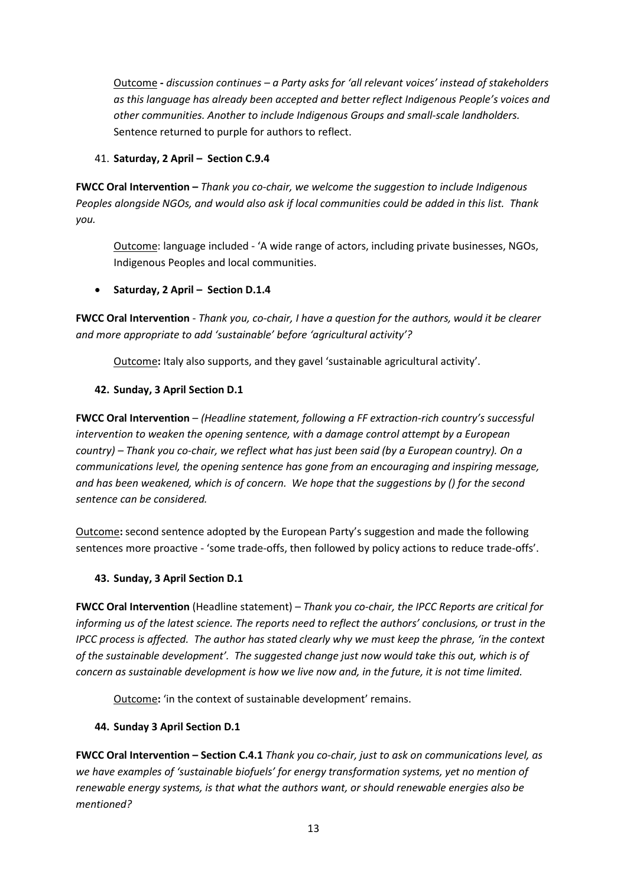Outcome **-** *discussion continues – a Party asks for 'all relevant voices' instead of stakeholders as this language has already been accepted and better reflect Indigenous People's voices and other communities. Another to include Indigenous Groups and small-scale landholders.*  Sentence returned to purple for authors to reflect.

## 41. **Saturday, 2 April – Section C.9.4**

**FWCC Oral Intervention –** *Thank you co-chair, we welcome the suggestion to include Indigenous Peoples alongside NGOs, and would also ask if local communities could be added in this list. Thank you.*

Outcome: language included - 'A wide range of actors, including private businesses, NGOs, Indigenous Peoples and local communities.

# • **Saturday, 2 April – Section D.1.4**

**FWCC Oral Intervention** - *Thank you, co-chair, I have a question for the authors, would it be clearer and more appropriate to add 'sustainable' before 'agricultural activity'?*

Outcome**:** Italy also supports, and they gavel 'sustainable agricultural activity'.

# **42. Sunday, 3 April Section D.1**

**FWCC Oral Intervention** – *(Headline statement, following a FF extraction-rich country's successful intervention to weaken the opening sentence, with a damage control attempt by a European country) – Thank you co-chair, we reflect what has just been said (by a European country). On a communications level, the opening sentence has gone from an encouraging and inspiring message, and has been weakened, which is of concern. We hope that the suggestions by () for the second sentence can be considered.*

Outcome**:** second sentence adopted by the European Party's suggestion and made the following sentences more proactive - 'some trade-offs, then followed by policy actions to reduce trade-offs'.

## **43. Sunday, 3 April Section D.1**

**FWCC Oral Intervention** (Headline statement) – *Thank you co-chair, the IPCC Reports are critical for informing us of the latest science. The reports need to reflect the authors' conclusions, or trust in the IPCC process is affected. The author has stated clearly why we must keep the phrase, 'in the context of the sustainable development'. The suggested change just now would take this out, which is of concern as sustainable development is how we live now and, in the future, it is not time limited.* 

Outcome**:** 'in the context of sustainable development' remains.

# **44. Sunday 3 April Section D.1**

**FWCC Oral Intervention – Section C.4.1** *Thank you co-chair, just to ask on communications level, as we have examples of 'sustainable biofuels' for energy transformation systems, yet no mention of renewable energy systems, is that what the authors want, or should renewable energies also be mentioned?*